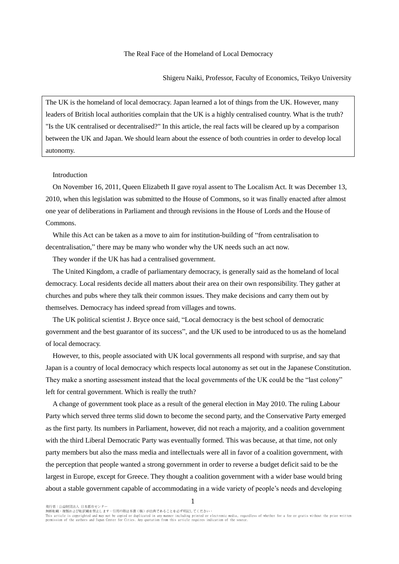#### The Real Face of the Homeland of Local Democracy

Shigeru Naiki, Professor, Faculty of Economics, Teikyo University

The UK is the homeland of local democracy. Japan learned a lot of things from the UK. However, many leaders of British local authorities complain that the UK is a highly centralised country. What is the truth? "Is the UK centralised or decentralised?" In this article, the real facts will be cleared up by a comparison between the UK and Japan. We should learn about the essence of both countries in order to develop local autonomy.

## Introduction

On November 16, 2011, Queen Elizabeth II gave royal assent to The Localism Act. It was December 13, 2010, when this legislation was submitted to the House of Commons, so it was finally enacted after almost one year of deliberations in Parliament and through revisions in the House of Lords and the House of Commons.

While this Act can be taken as a move to aim for institution-building of "from centralisation to decentralisation," there may be many who wonder why the UK needs such an act now.

They wonder if the UK has had a centralised government.

The United Kingdom, a cradle of parliamentary democracy, is generally said as the homeland of local democracy. Local residents decide all matters about their area on their own responsibility. They gather at churches and pubs where they talk their common issues. They make decisions and carry them out by themselves. Democracy has indeed spread from villages and towns.

The UK political scientist J. Bryce once said, "Local democracy is the best school of democratic government and the best guarantor of its success", and the UK used to be introduced to us as the homeland of local democracy.

However, to this, people associated with UK local governments all respond with surprise, and say that Japan is a country of local democracy which respects local autonomy as set out in the Japanese Constitution. They make a snorting assessment instead that the local governments of the UK could be the "last colony" left for central government. Which is really the truth?

A change of government took place as a result of the general election in May 2010. The ruling Labour Party which served three terms slid down to become the second party, and the Conservative Party emerged as the first party. Its numbers in Parliament, however, did not reach a majority, and a coalition government with the third Liberal Democratic Party was eventually formed. This was because, at that time, not only party members but also the mass media and intellectuals were all in favor of a coalition government, with the perception that people wanted a strong government in order to reverse a budget deficit said to be the largest in Europe, except for Greece. They thought a coalition government with a wider base would bring about a stable government capable of accommodating in a wide variety of people's needs and developing

発行者:公益財団法人 日本都市センター

無断転載、複製および転訳載を禁止します。引用の際は本書(稿)が出典であることを必ず明記してください。

This article is copyrighted and may not be copied or duplicated in any manner including printed or electronic media, regardless of whether for a fee or gratis without the prior written<br>permission of the authors and Japan C

1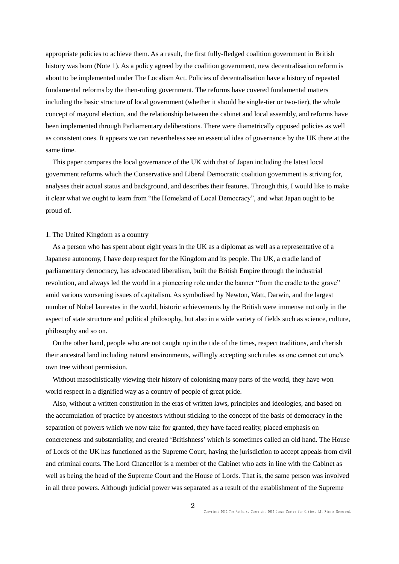appropriate policies to achieve them. As a result, the first fully-fledged coalition government in British history was born (Note 1). As a policy agreed by the coalition government, new decentralisation reform is about to be implemented under The Localism Act. Policies of decentralisation have a history of repeated fundamental reforms by the then-ruling government. The reforms have covered fundamental matters including the basic structure of local government (whether it should be single-tier or two-tier), the whole concept of mayoral election, and the relationship between the cabinet and local assembly, and reforms have been implemented through Parliamentary deliberations. There were diametrically opposed policies as well as consistent ones. It appears we can nevertheless see an essential idea of governance by the UK there at the same time.

This paper compares the local governance of the UK with that of Japan including the latest local government reforms which the Conservative and Liberal Democratic coalition government is striving for, analyses their actual status and background, and describes their features. Through this, I would like to make it clear what we ought to learn from "the Homeland of Local Democracy", and what Japan ought to be proud of.

#### 1. The United Kingdom as a country

As a person who has spent about eight years in the UK as a diplomat as well as a representative of a Japanese autonomy, I have deep respect for the Kingdom and its people. The UK, a cradle land of parliamentary democracy, has advocated liberalism, built the British Empire through the industrial revolution, and always led the world in a pioneering role under the banner "from the cradle to the grave" amid various worsening issues of capitalism. As symbolised by Newton, Watt, Darwin, and the largest number of Nobel laureates in the world, historic achievements by the British were immense not only in the aspect of state structure and political philosophy, but also in a wide variety of fields such as science, culture, philosophy and so on.

On the other hand, people who are not caught up in the tide of the times, respect traditions, and cherish their ancestral land including natural environments, willingly accepting such rules as one cannot cut one's own tree without permission.

Without masochistically viewing their history of colonising many parts of the world, they have won world respect in a dignified way as a country of people of great pride.

Also, without a written constitution in the eras of written laws, principles and ideologies, and based on the accumulation of practice by ancestors without sticking to the concept of the basis of democracy in the separation of powers which we now take for granted, they have faced reality, placed emphasis on concreteness and substantiality, and created 'Britishness' which is sometimes called an old hand. The House of Lords of the UK has functioned as the Supreme Court, having the jurisdiction to accept appeals from civil and criminal courts. The Lord Chancellor is a member of the Cabinet who acts in line with the Cabinet as well as being the head of the Supreme Court and the House of Lords. That is, the same person was involved in all three powers. Although judicial power was separated as a result of the establishment of the Supreme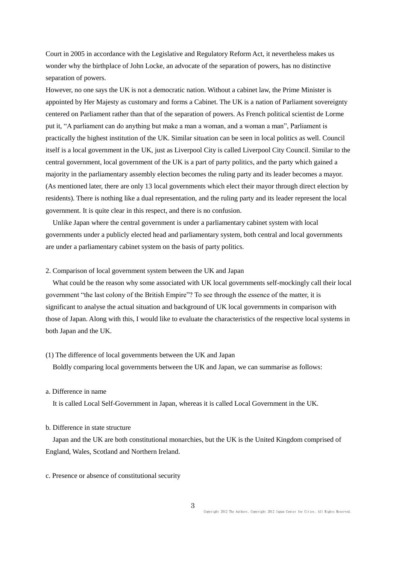Court in 2005 in accordance with the Legislative and Regulatory Reform Act, it nevertheless makes us wonder why the birthplace of John Locke, an advocate of the separation of powers, has no distinctive separation of powers.

However, no one says the UK is not a democratic nation. Without a cabinet law, the Prime Minister is appointed by Her Majesty as customary and forms a Cabinet. The UK is a nation of Parliament sovereignty centered on Parliament rather than that of the separation of powers. As French political scientist de Lorme put it, "A parliament can do anything but make a man a woman, and a woman a man", Parliament is practically the highest institution of the UK. Similar situation can be seen in local politics as well. Council itself is a local government in the UK, just as Liverpool City is called Liverpool City Council. Similar to the central government, local government of the UK is a part of party politics, and the party which gained a majority in the parliamentary assembly election becomes the ruling party and its leader becomes a mayor. (As mentioned later, there are only 13 local governments which elect their mayor through direct election by residents). There is nothing like a dual representation, and the ruling party and its leader represent the local government. It is quite clear in this respect, and there is no confusion.

Unlike Japan where the central government is under a parliamentary cabinet system with local governments under a publicly elected head and parliamentary system, both central and local governments are under a parliamentary cabinet system on the basis of party politics.

## 2. Comparison of local government system between the UK and Japan

What could be the reason why some associated with UK local governments self-mockingly call their local government "the last colony of the British Empire"? To see through the essence of the matter, it is significant to analyse the actual situation and background of UK local governments in comparison with those of Japan. Along with this, I would like to evaluate the characteristics of the respective local systems in both Japan and the UK.

### (1) The difference of local governments between the UK and Japan

Boldly comparing local governments between the UK and Japan, we can summarise as follows:

# a. Difference in name

It is called Local Self-Government in Japan, whereas it is called Local Government in the UK.

## b. Difference in state structure

Japan and the UK are both constitutional monarchies, but the UK is the United Kingdom comprised of England, Wales, Scotland and Northern Ireland.

## c. Presence or absence of constitutional security

3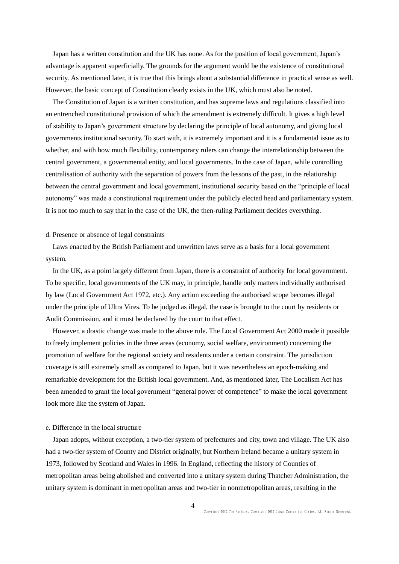Japan has a written constitution and the UK has none. As for the position of local government, Japan's advantage is apparent superficially. The grounds for the argument would be the existence of constitutional security. As mentioned later, it is true that this brings about a substantial difference in practical sense as well. However, the basic concept of Constitution clearly exists in the UK, which must also be noted.

The Constitution of Japan is a written constitution, and has supreme laws and regulations classified into an entrenched constitutional provision of which the amendment is extremely difficult. It gives a high level of stability to Japan's government structure by declaring the principle of local autonomy, and giving local governments institutional security. To start with, it is extremely important and it is a fundamental issue as to whether, and with how much flexibility, contemporary rulers can change the interrelationship between the central government, a governmental entity, and local governments. In the case of Japan, while controlling centralisation of authority with the separation of powers from the lessons of the past, in the relationship between the central government and local government, institutional security based on the "principle of local autonomy" was made a constitutional requirement under the publicly elected head and parliamentary system. It is not too much to say that in the case of the UK, the then-ruling Parliament decides everything.

#### d. Presence or absence of legal constraints

Laws enacted by the British Parliament and unwritten laws serve as a basis for a local government system.

 In the UK, as a point largely different from Japan, there is a constraint of authority for local government. To be specific, local governments of the UK may, in principle, handle only matters individually authorised by law (Local Government Act 1972, etc.). Any action exceeding the authorised scope becomes illegal under the principle of Ultra Vires. To be judged as illegal, the case is brought to the court by residents or Audit Commission, and it must be declared by the court to that effect.

However, a drastic change was made to the above rule. The Local Government Act 2000 made it possible to freely implement policies in the three areas (economy, social welfare, environment) concerning the promotion of welfare for the regional society and residents under a certain constraint. The jurisdiction coverage is still extremely small as compared to Japan, but it was nevertheless an epoch-making and remarkable development for the British local government. And, as mentioned later, The Localism Act has been amended to grant the local government "general power of competence" to make the local government look more like the system of Japan.

## e. Difference in the local structure

Japan adopts, without exception, a two-tier system of prefectures and city, town and village. The UK also had a two-tier system of County and District originally, but Northern Ireland became a unitary system in 1973, followed by Scotland and Wales in 1996. In England, reflecting the history of Counties of metropolitan areas being abolished and converted into a unitary system during Thatcher Administration, the unitary system is dominant in metropolitan areas and two-tier in nonmetropolitan areas, resulting in the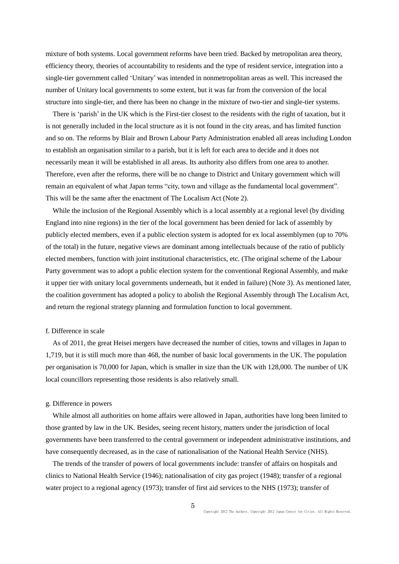mixture of both systems. Local government reforms have been tried. Backed by metropolitan area theory, efficiency theory, theories of accountability to residents and the type of resident service, integration into a single-tier government called 'Unitary' was intended in nonmetropolitan areas as well. This increased the number of Unitary local governments to some extent, but it was far from the conversion of the local structure into single-tier, and there has been no change in the mixture of two-tier and single-tier systems.

There is 'parish' in the UK which is the First-tier closest to the residents with the right of taxation, but it is not generally included in the local structure as it is not found in the city areas, and has limited function and so on. The reforms by Blair and Brown Labour Party Administration enabled all areas including London to establish an organisation similar to a parish, but it is left for each area to decide and it does not necessarily mean it will be established in all areas. Its authority also differs from one area to another. Therefore, even after the reforms, there will be no change to District and Unitary government which will remain an equivalent of what Japan terms "city, town and village as the fundamental local government". This will be the same after the enactment of The Localism Act (Note 2).

While the inclusion of the Regional Assembly which is a local assembly at a regional level (by dividing England into nine regions) in the tier of the local government has been denied for lack of assembly by publicly elected members, even if a public election system is adopted for ex local assemblymen (up to 70% of the total) in the future, negative views are dominant among intellectuals because of the ratio of publicly elected members, function with joint institutional characteristics, etc. (The original scheme of the Labour Party government was to adopt a public election system for the conventional Regional Assembly, and make it upper tier with unitary local governments underneath, but it ended in failure) (Note 3). As mentioned later, the coalition government has adopted a policy to abolish the Regional Assembly through The Localism Act, and return the regional strategy planning and formulation function to local government.

#### f. Difference in scale

As of 2011, the great Heisei mergers have decreased the number of cities, towns and villages in Japan to 1,719, but it is still much more than 468, the number of basic local governments in the UK. The population per organisation is 70,000 for Japan, which is smaller in size than the UK with 128,000. The number of UK local councillors representing those residents is also relatively small.

## g. Difference in powers

While almost all authorities on home affairs were allowed in Japan, authorities have long been limited to those granted by law in the UK. Besides, seeing recent history, matters under the jurisdiction of local governments have been transferred to the central government or independent administrative institutions, and have consequently decreased, as in the case of nationalisation of the National Health Service (NHS).

The trends of the transfer of powers of local governments include: transfer of affairs on hospitals and clinics to National Health Service (1946); nationalisation of city gas project (1948); transfer of a regional water project to a regional agency (1973); transfer of first aid services to the NHS (1973); transfer of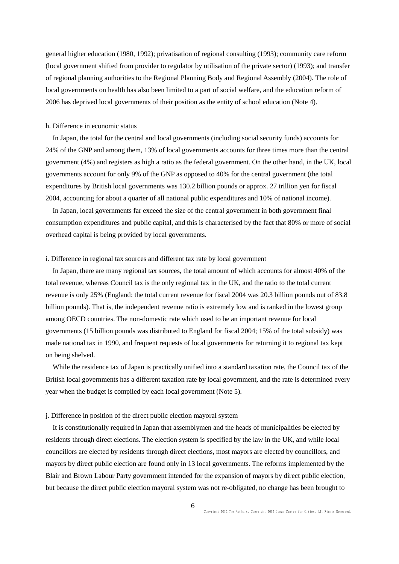general higher education (1980, 1992); privatisation of regional consulting (1993); community care reform (local government shifted from provider to regulator by utilisation of the private sector) (1993); and transfer of regional planning authorities to the Regional Planning Body and Regional Assembly (2004). The role of local governments on health has also been limited to a part of social welfare, and the education reform of 2006 has deprived local governments of their position as the entity of school education (Note 4).

### h. Difference in economic status

In Japan, the total for the central and local governments (including social security funds) accounts for 24% of the GNP and among them, 13% of local governments accounts for three times more than the central government (4%) and registers as high a ratio as the federal government. On the other hand, in the UK, local governments account for only 9% of the GNP as opposed to 40% for the central government (the total expenditures by British local governments was 130.2 billion pounds or approx. 27 trillion yen for fiscal 2004, accounting for about a quarter of all national public expenditures and 10% of national income).

In Japan, local governments far exceed the size of the central government in both government final consumption expenditures and public capital, and this is characterised by the fact that 80% or more of social overhead capital is being provided by local governments.

#### i. Difference in regional tax sources and different tax rate by local government

In Japan, there are many regional tax sources, the total amount of which accounts for almost 40% of the total revenue, whereas Council tax is the only regional tax in the UK, and the ratio to the total current revenue is only 25% (England: the total current revenue for fiscal 2004 was 20.3 billion pounds out of 83.8 billion pounds). That is, the independent revenue ratio is extremely low and is ranked in the lowest group among OECD countries. The non-domestic rate which used to be an important revenue for local governments (15 billion pounds was distributed to England for fiscal 2004; 15% of the total subsidy) was made national tax in 1990, and frequent requests of local governments for returning it to regional tax kept on being shelved.

While the residence tax of Japan is practically unified into a standard taxation rate, the Council tax of the British local governments has a different taxation rate by local government, and the rate is determined every year when the budget is compiled by each local government (Note 5).

## j. Difference in position of the direct public election mayoral system

It is constitutionally required in Japan that assemblymen and the heads of municipalities be elected by residents through direct elections. The election system is specified by the law in the UK, and while local councillors are elected by residents through direct elections, most mayors are elected by councillors, and mayors by direct public election are found only in 13 local governments. The reforms implemented by the Blair and Brown Labour Party government intended for the expansion of mayors by direct public election, but because the direct public election mayoral system was not re-obligated, no change has been brought to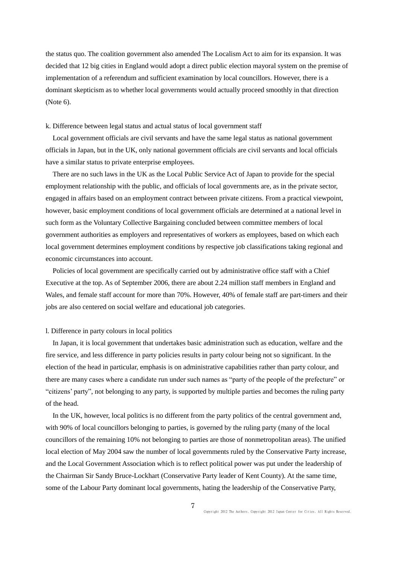the status quo. The coalition government also amended The Localism Act to aim for its expansion. It was decided that 12 big cities in England would adopt a direct public election mayoral system on the premise of implementation of a referendum and sufficient examination by local councillors. However, there is a dominant skepticism as to whether local governments would actually proceed smoothly in that direction (Note 6).

#### k. Difference between legal status and actual status of local government staff

Local government officials are civil servants and have the same legal status as national government officials in Japan, but in the UK, only national government officials are civil servants and local officials have a similar status to private enterprise employees.

There are no such laws in the UK as the Local Public Service Act of Japan to provide for the special employment relationship with the public, and officials of local governments are, as in the private sector, engaged in affairs based on an employment contract between private citizens. From a practical viewpoint, however, basic employment conditions of local government officials are determined at a national level in such form as the Voluntary Collective Bargaining concluded between committee members of local government authorities as employers and representatives of workers as employees, based on which each local government determines employment conditions by respective job classifications taking regional and economic circumstances into account.

Policies of local government are specifically carried out by administrative office staff with a Chief Executive at the top. As of September 2006, there are about 2.24 million staff members in England and Wales, and female staff account for more than 70%. However, 40% of female staff are part-timers and their jobs are also centered on social welfare and educational job categories.

#### l. Difference in party colours in local politics

In Japan, it is local government that undertakes basic administration such as education, welfare and the fire service, and less difference in party policies results in party colour being not so significant. In the election of the head in particular, emphasis is on administrative capabilities rather than party colour, and there are many cases where a candidate run under such names as "party of the people of the prefecture" or "citizens' party", not belonging to any party, is supported by multiple parties and becomes the ruling party of the head.

In the UK, however, local politics is no different from the party politics of the central government and, with 90% of local councillors belonging to parties, is governed by the ruling party (many of the local councillors of the remaining 10% not belonging to parties are those of nonmetropolitan areas). The unified local election of May 2004 saw the number of local governments ruled by the Conservative Party increase, and the Local Government Association which is to reflect political power was put under the leadership of the Chairman Sir Sandy Bruce-Lockhart (Conservative Party leader of Kent County). At the same time, some of the Labour Party dominant local governments, hating the leadership of the Conservative Party,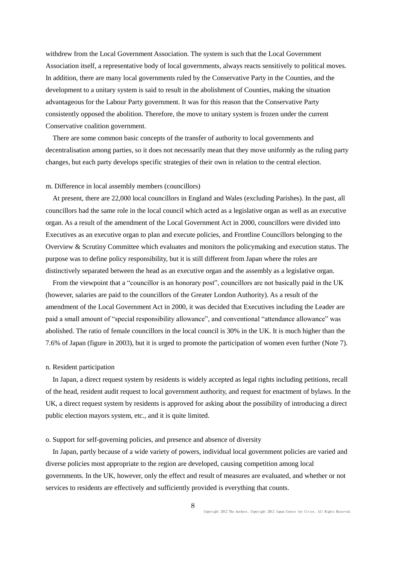withdrew from the Local Government Association. The system is such that the Local Government Association itself, a representative body of local governments, always reacts sensitively to political moves. In addition, there are many local governments ruled by the Conservative Party in the Counties, and the development to a unitary system is said to result in the abolishment of Counties, making the situation advantageous for the Labour Party government. It was for this reason that the Conservative Party consistently opposed the abolition. Therefore, the move to unitary system is frozen under the current Conservative coalition government.

There are some common basic concepts of the transfer of authority to local governments and decentralisation among parties, so it does not necessarily mean that they move uniformly as the ruling party changes, but each party develops specific strategies of their own in relation to the central election.

### m. Difference in local assembly members (councillors)

At present, there are 22,000 local councillors in England and Wales (excluding Parishes). In the past, all councillors had the same role in the local council which acted as a legislative organ as well as an executive organ. As a result of the amendment of the Local Government Act in 2000, councillors were divided into Executives as an executive organ to plan and execute policies, and Frontline Councillors belonging to the Overview & Scrutiny Committee which evaluates and monitors the policymaking and execution status. The purpose was to define policy responsibility, but it is still different from Japan where the roles are distinctively separated between the head as an executive organ and the assembly as a legislative organ.

From the viewpoint that a "councillor is an honorary post", councillors are not basically paid in the UK (however, salaries are paid to the councillors of the Greater London Authority). As a result of the amendment of the Local Government Act in 2000, it was decided that Executives including the Leader are paid a small amount of "special responsibility allowance", and conventional "attendance allowance" was abolished. The ratio of female councillors in the local council is 30% in the UK. It is much higher than the 7.6% of Japan (figure in 2003), but it is urged to promote the participation of women even further (Note 7).

#### n. Resident participation

In Japan, a direct request system by residents is widely accepted as legal rights including petitions, recall of the head, resident audit request to local government authority, and request for enactment of bylaws. In the UK, a direct request system by residents is approved for asking about the possibility of introducing a direct public election mayors system, etc., and it is quite limited.

#### o. Support for self-governing policies, and presence and absence of diversity

In Japan, partly because of a wide variety of powers, individual local government policies are varied and diverse policies most appropriate to the region are developed, causing competition among local governments. In the UK, however, only the effect and result of measures are evaluated, and whether or not services to residents are effectively and sufficiently provided is everything that counts.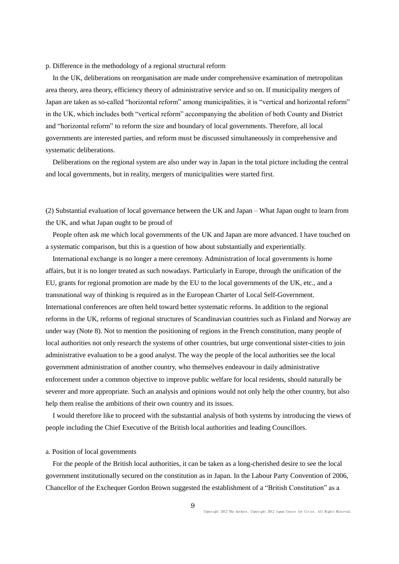## p. Difference in the methodology of a regional structural reform

In the UK, deliberations on reorganisation are made under comprehensive examination of metropolitan area theory, area theory, efficiency theory of administrative service and so on. If municipality mergers of Japan are taken as so-called "horizontal reform" among municipalities, it is "vertical and horizontal reform" in the UK, which includes both "vertical reform" accompanying the abolition of both County and District and "horizontal reform" to reform the size and boundary of local governments. Therefore, all local governments are interested parties, and reform must be discussed simultaneously in comprehensive and systematic deliberations.

Deliberations on the regional system are also under way in Japan in the total picture including the central and local governments, but in reality, mergers of municipalities were started first.

(2) Substantial evaluation of local governance between the UK and Japan – What Japan ought to learn from the UK, and what Japan ought to be proud of

People often ask me which local governments of the UK and Japan are more advanced. I have touched on a systematic comparison, but this is a question of how about substantially and experientially.

International exchange is no longer a mere ceremony. Administration of local governments is home affairs, but it is no longer treated as such nowadays. Particularly in Europe, through the unification of the EU, grants for regional promotion are made by the EU to the local governments of the UK, etc., and a transnational way of thinking is required as in the European Charter of Local Self-Government. International conferences are often held toward better systematic reforms. In addition to the regional reforms in the UK, reforms of regional structures of Scandinavian countries such as Finland and Norway are under way (Note 8). Not to mention the positioning of regions in the French constitution, many people of local authorities not only research the systems of other countries, but urge conventional sister-cities to join administrative evaluation to be a good analyst. The way the people of the local authorities see the local government administration of another country, who themselves endeavour in daily administrative enforcement under a common objective to improve public welfare for local residents, should naturally be severer and more appropriate. Such an analysis and opinions would not only help the other country, but also help them realise the ambitions of their own country and its issues.

I would therefore like to proceed with the substantial analysis of both systems by introducing the views of people including the Chief Executive of the British local authorities and leading Councillors.

#### a. Position of local governments

For the people of the British local authorities, it can be taken as a long-cherished desire to see the local government institutionally secured on the constitution as in Japan. In the Labour Party Convention of 2006, Chancellor of the Exchequer Gordon Brown suggested the establishment of a "British Constitution" as a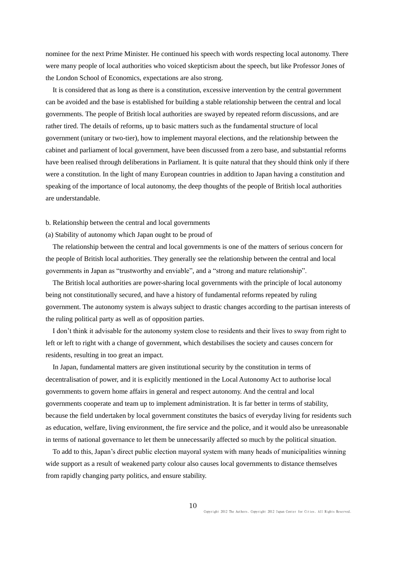nominee for the next Prime Minister. He continued his speech with words respecting local autonomy. There were many people of local authorities who voiced skepticism about the speech, but like Professor Jones of the London School of Economics, expectations are also strong.

It is considered that as long as there is a constitution, excessive intervention by the central government can be avoided and the base is established for building a stable relationship between the central and local governments. The people of British local authorities are swayed by repeated reform discussions, and are rather tired. The details of reforms, up to basic matters such as the fundamental structure of local government (unitary or two-tier), how to implement mayoral elections, and the relationship between the cabinet and parliament of local government, have been discussed from a zero base, and substantial reforms have been realised through deliberations in Parliament. It is quite natural that they should think only if there were a constitution. In the light of many European countries in addition to Japan having a constitution and speaking of the importance of local autonomy, the deep thoughts of the people of British local authorities are understandable.

b. Relationship between the central and local governments

(a) Stability of autonomy which Japan ought to be proud of

The relationship between the central and local governments is one of the matters of serious concern for the people of British local authorities. They generally see the relationship between the central and local governments in Japan as "trustworthy and enviable", and a "strong and mature relationship".

The British local authorities are power-sharing local governments with the principle of local autonomy being not constitutionally secured, and have a history of fundamental reforms repeated by ruling government. The autonomy system is always subject to drastic changes according to the partisan interests of the ruling political party as well as of opposition parties.

I don't think it advisable for the autonomy system close to residents and their lives to sway from right to left or left to right with a change of government, which destabilises the society and causes concern for residents, resulting in too great an impact.

In Japan, fundamental matters are given institutional security by the constitution in terms of decentralisation of power, and it is explicitly mentioned in the Local Autonomy Act to authorise local governments to govern home affairs in general and respect autonomy. And the central and local governments cooperate and team up to implement administration. It is far better in terms of stability, because the field undertaken by local government constitutes the basics of everyday living for residents such as education, welfare, living environment, the fire service and the police, and it would also be unreasonable in terms of national governance to let them be unnecessarily affected so much by the political situation.

To add to this, Japan's direct public election mayoral system with many heads of municipalities winning wide support as a result of weakened party colour also causes local governments to distance themselves from rapidly changing party politics, and ensure stability.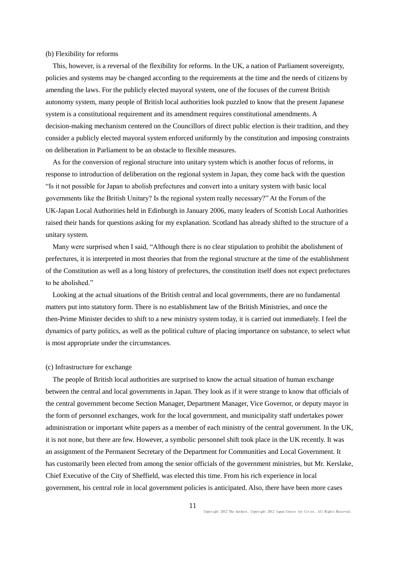#### (b) Flexibility for reforms

This, however, is a reversal of the flexibility for reforms. In the UK, a nation of Parliament sovereignty, policies and systems may be changed according to the requirements at the time and the needs of citizens by amending the laws. For the publicly elected mayoral system, one of the focuses of the current British autonomy system, many people of British local authorities look puzzled to know that the present Japanese system is a constitutional requirement and its amendment requires constitutional amendments. A decision-making mechanism centered on the Councillors of direct public election is their tradition, and they consider a publicly elected mayoral system enforced uniformly by the constitution and imposing constraints on deliberation in Parliament to be an obstacle to flexible measures.

As for the conversion of regional structure into unitary system which is another focus of reforms, in response to introduction of deliberation on the regional system in Japan, they come back with the question "Is it not possible for Japan to abolish prefectures and convert into a unitary system with basic local governments like the British Unitary? Is the regional system really necessary?" At the Forum of the UK-Japan Local Authorities held in Edinburgh in January 2006, many leaders of Scottish Local Authorities raised their hands for questions asking for my explanation. Scotland has already shifted to the structure of a unitary system.

Many were surprised when I said, "Although there is no clear stipulation to prohibit the abolishment of prefectures, it is interpreted in most theories that from the regional structure at the time of the establishment of the Constitution as well as a long history of prefectures, the constitution itself does not expect prefectures to be abolished."

Looking at the actual situations of the British central and local governments, there are no fundamental matters put into statutory form. There is no establishment law of the British Ministries, and once the then-Prime Minister decides to shift to a new ministry system today, it is carried out immediately. I feel the dynamics of party politics, as well as the political culture of placing importance on substance, to select what is most appropriate under the circumstances.

#### (c) Infrastructure for exchange

The people of British local authorities are surprised to know the actual situation of human exchange between the central and local governments in Japan. They look as if it were strange to know that officials of the central government become Section Manager, Department Manager, Vice Governor, or deputy mayor in the form of personnel exchanges, work for the local government, and municipality staff undertakes power administration or important white papers as a member of each ministry of the central government. In the UK, it is not none, but there are few. However, a symbolic personnel shift took place in the UK recently. It was an assignment of the Permanent Secretary of the Department for Communities and Local Government. It has customarily been elected from among the senior officials of the government ministries, but Mr. Kerslake, Chief Executive of the City of Sheffield, was elected this time. From his rich experience in local government, his central role in local government policies is anticipated. Also, there have been more cases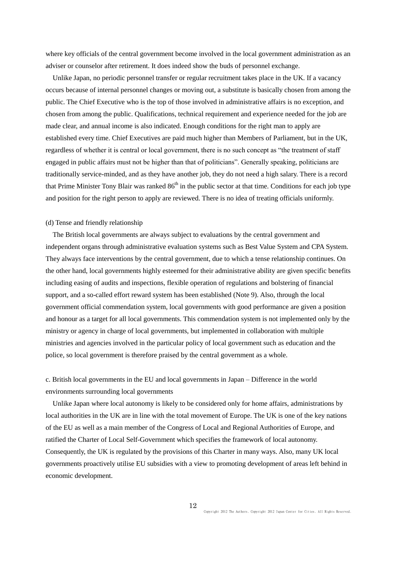where key officials of the central government become involved in the local government administration as an adviser or counselor after retirement. It does indeed show the buds of personnel exchange.

Unlike Japan, no periodic personnel transfer or regular recruitment takes place in the UK. If a vacancy occurs because of internal personnel changes or moving out, a substitute is basically chosen from among the public. The Chief Executive who is the top of those involved in administrative affairs is no exception, and chosen from among the public. Qualifications, technical requirement and experience needed for the job are made clear, and annual income is also indicated. Enough conditions for the right man to apply are established every time. Chief Executives are paid much higher than Members of Parliament, but in the UK, regardless of whether it is central or local government, there is no such concept as "the treatment of staff engaged in public affairs must not be higher than that of politicians". Generally speaking, politicians are traditionally service-minded, and as they have another job, they do not need a high salary. There is a record that Prime Minister Tony Blair was ranked  $86<sup>th</sup>$  in the public sector at that time. Conditions for each job type and position for the right person to apply are reviewed. There is no idea of treating officials uniformly.

### (d) Tense and friendly relationship

The British local governments are always subject to evaluations by the central government and independent organs through administrative evaluation systems such as Best Value System and CPA System. They always face interventions by the central government, due to which a tense relationship continues. On the other hand, local governments highly esteemed for their administrative ability are given specific benefits including easing of audits and inspections, flexible operation of regulations and bolstering of financial support, and a so-called effort reward system has been established (Note 9). Also, through the local government official commendation system, local governments with good performance are given a position and honour as a target for all local governments. This commendation system is not implemented only by the ministry or agency in charge of local governments, but implemented in collaboration with multiple ministries and agencies involved in the particular policy of local government such as education and the police, so local government is therefore praised by the central government as a whole.

c. British local governments in the EU and local governments in Japan – Difference in the world environments surrounding local governments

Unlike Japan where local autonomy is likely to be considered only for home affairs, administrations by local authorities in the UK are in line with the total movement of Europe. The UK is one of the key nations of the EU as well as a main member of the Congress of Local and Regional Authorities of Europe, and ratified the Charter of Local Self-Government which specifies the framework of local autonomy. Consequently, the UK is regulated by the provisions of this Charter in many ways. Also, many UK local governments proactively utilise EU subsidies with a view to promoting development of areas left behind in economic development.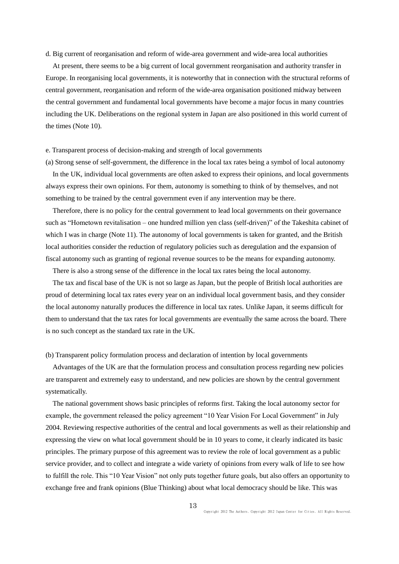d. Big current of reorganisation and reform of wide-area government and wide-area local authorities

At present, there seems to be a big current of local government reorganisation and authority transfer in Europe. In reorganising local governments, it is noteworthy that in connection with the structural reforms of central government, reorganisation and reform of the wide-area organisation positioned midway between the central government and fundamental local governments have become a major focus in many countries including the UK. Deliberations on the regional system in Japan are also positioned in this world current of the times (Note 10).

## e. Transparent process of decision-making and strength of local governments

(a) Strong sense of self-government, the difference in the local tax rates being a symbol of local autonomy In the UK, individual local governments are often asked to express their opinions, and local governments always express their own opinions. For them, autonomy is something to think of by themselves, and not something to be trained by the central government even if any intervention may be there.

Therefore, there is no policy for the central government to lead local governments on their governance such as "Hometown revitalisation – one hundred million yen class (self-driven)" of the Takeshita cabinet of which I was in charge (Note 11). The autonomy of local governments is taken for granted, and the British local authorities consider the reduction of regulatory policies such as deregulation and the expansion of fiscal autonomy such as granting of regional revenue sources to be the means for expanding autonomy.

There is also a strong sense of the difference in the local tax rates being the local autonomy.

The tax and fiscal base of the UK is not so large as Japan, but the people of British local authorities are proud of determining local tax rates every year on an individual local government basis, and they consider the local autonomy naturally produces the difference in local tax rates. Unlike Japan, it seems difficult for them to understand that the tax rates for local governments are eventually the same across the board. There is no such concept as the standard tax rate in the UK.

### (b) Transparent policy formulation process and declaration of intention by local governments

Advantages of the UK are that the formulation process and consultation process regarding new policies are transparent and extremely easy to understand, and new policies are shown by the central government systematically.

The national government shows basic principles of reforms first. Taking the local autonomy sector for example, the government released the policy agreement "10 Year Vision For Local Government" in July 2004. Reviewing respective authorities of the central and local governments as well as their relationship and expressing the view on what local government should be in 10 years to come, it clearly indicated its basic principles. The primary purpose of this agreement was to review the role of local government as a public service provider, and to collect and integrate a wide variety of opinions from every walk of life to see how to fulfill the role. This "10 Year Vision" not only puts together future goals, but also offers an opportunity to exchange free and frank opinions (Blue Thinking) about what local democracy should be like. This was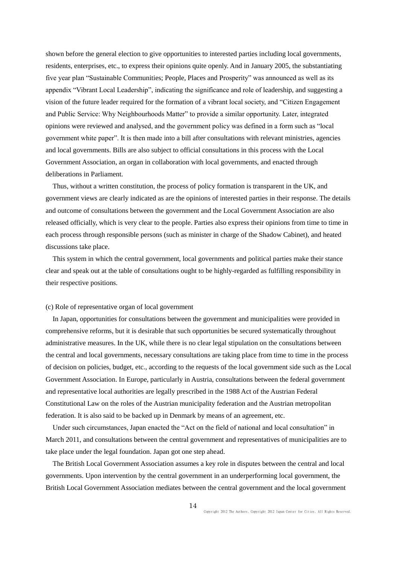shown before the general election to give opportunities to interested parties including local governments, residents, enterprises, etc., to express their opinions quite openly. And in January 2005, the substantiating five year plan "Sustainable Communities; People, Places and Prosperity" was announced as well as its appendix "Vibrant Local Leadership", indicating the significance and role of leadership, and suggesting a vision of the future leader required for the formation of a vibrant local society, and "Citizen Engagement and Public Service: Why Neighbourhoods Matter" to provide a similar opportunity. Later, integrated opinions were reviewed and analysed, and the government policy was defined in a form such as "local government white paper". It is then made into a bill after consultations with relevant ministries, agencies and local governments. Bills are also subject to official consultations in this process with the Local Government Association, an organ in collaboration with local governments, and enacted through deliberations in Parliament.

Thus, without a written constitution, the process of policy formation is transparent in the UK, and government views are clearly indicated as are the opinions of interested parties in their response. The details and outcome of consultations between the government and the Local Government Association are also released officially, which is very clear to the people. Parties also express their opinions from time to time in each process through responsible persons (such as minister in charge of the Shadow Cabinet), and heated discussions take place.

This system in which the central government, local governments and political parties make their stance clear and speak out at the table of consultations ought to be highly-regarded as fulfilling responsibility in their respective positions.

## (c) Role of representative organ of local government

In Japan, opportunities for consultations between the government and municipalities were provided in comprehensive reforms, but it is desirable that such opportunities be secured systematically throughout administrative measures. In the UK, while there is no clear legal stipulation on the consultations between the central and local governments, necessary consultations are taking place from time to time in the process of decision on policies, budget, etc., according to the requests of the local government side such as the Local Government Association. In Europe, particularly in Austria, consultations between the federal government and representative local authorities are legally prescribed in the 1988 Act of the Austrian Federal Constitutional Law on the roles of the Austrian municipality federation and the Austrian metropolitan federation. It is also said to be backed up in Denmark by means of an agreement, etc.

Under such circumstances, Japan enacted the "Act on the field of national and local consultation" in March 2011, and consultations between the central government and representatives of municipalities are to take place under the legal foundation. Japan got one step ahead.

The British Local Government Association assumes a key role in disputes between the central and local governments. Upon intervention by the central government in an underperforming local government, the British Local Government Association mediates between the central government and the local government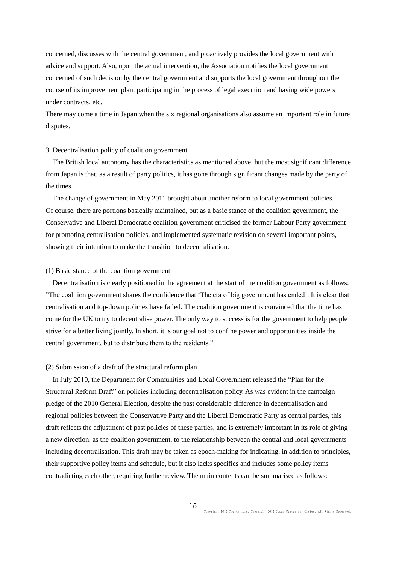concerned, discusses with the central government, and proactively provides the local government with advice and support. Also, upon the actual intervention, the Association notifies the local government concerned of such decision by the central government and supports the local government throughout the course of its improvement plan, participating in the process of legal execution and having wide powers under contracts, etc.

There may come a time in Japan when the six regional organisations also assume an important role in future disputes.

## 3. Decentralisation policy of coalition government

The British local autonomy has the characteristics as mentioned above, but the most significant difference from Japan is that, as a result of party politics, it has gone through significant changes made by the party of the times.

The change of government in May 2011 brought about another reform to local government policies. Of course, there are portions basically maintained, but as a basic stance of the coalition government, the Conservative and Liberal Democratic coalition government criticised the former Labour Party government for promoting centralisation policies, and implemented systematic revision on several important points, showing their intention to make the transition to decentralisation.

## (1) Basic stance of the coalition government

Decentralisation is clearly positioned in the agreement at the start of the coalition government as follows: "The coalition government shares the confidence that 'The era of big government has ended'. It is clear that centralisation and top-down policies have failed. The coalition government is convinced that the time has come for the UK to try to decentralise power. The only way to success is for the government to help people strive for a better living jointly. In short, it is our goal not to confine power and opportunities inside the central government, but to distribute them to the residents."

#### (2) Submission of a draft of the structural reform plan

In July 2010, the Department for Communities and Local Government released the "Plan for the Structural Reform Draft" on policies including decentralisation policy. As was evident in the campaign pledge of the 2010 General Election, despite the past considerable difference in decentralisation and regional policies between the Conservative Party and the Liberal Democratic Party as central parties, this draft reflects the adjustment of past policies of these parties, and is extremely important in its role of giving a new direction, as the coalition government, to the relationship between the central and local governments including decentralisation. This draft may be taken as epoch-making for indicating, in addition to principles, their supportive policy items and schedule, but it also lacks specifics and includes some policy items contradicting each other, requiring further review. The main contents can be summarised as follows: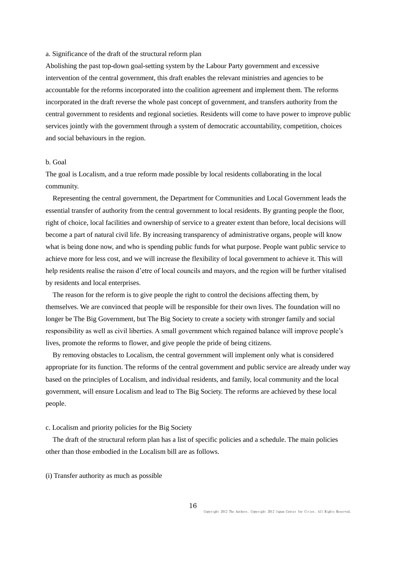#### a. Significance of the draft of the structural reform plan

Abolishing the past top-down goal-setting system by the Labour Party government and excessive intervention of the central government, this draft enables the relevant ministries and agencies to be accountable for the reforms incorporated into the coalition agreement and implement them. The reforms incorporated in the draft reverse the whole past concept of government, and transfers authority from the central government to residents and regional societies. Residents will come to have power to improve public services jointly with the government through a system of democratic accountability, competition, choices and social behaviours in the region.

## b. Goal

The goal is Localism, and a true reform made possible by local residents collaborating in the local community.

Representing the central government, the Department for Communities and Local Government leads the essential transfer of authority from the central government to local residents. By granting people the floor, right of choice, local facilities and ownership of service to a greater extent than before, local decisions will become a part of natural civil life. By increasing transparency of administrative organs, people will know what is being done now, and who is spending public funds for what purpose. People want public service to achieve more for less cost, and we will increase the flexibility of local government to achieve it. This will help residents realise the raison d'etre of local councils and mayors, and the region will be further vitalised by residents and local enterprises.

The reason for the reform is to give people the right to control the decisions affecting them, by themselves. We are convinced that people will be responsible for their own lives. The foundation will no longer be The Big Government, but The Big Society to create a society with stronger family and social responsibility as well as civil liberties. A small government which regained balance will improve people's lives, promote the reforms to flower, and give people the pride of being citizens.

 By removing obstacles to Localism, the central government will implement only what is considered appropriate for its function. The reforms of the central government and public service are already under way based on the principles of Localism, and individual residents, and family, local community and the local government, will ensure Localism and lead to The Big Society. The reforms are achieved by these local people.

## c. Localism and priority policies for the Big Society

The draft of the structural reform plan has a list of specific policies and a schedule. The main policies other than those embodied in the Localism bill are as follows.

(i) Transfer authority as much as possible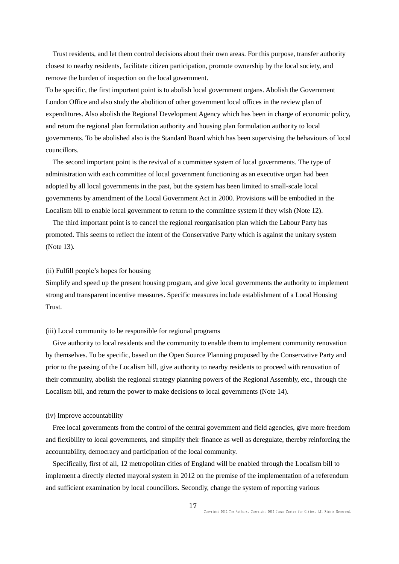Trust residents, and let them control decisions about their own areas. For this purpose, transfer authority closest to nearby residents, facilitate citizen participation, promote ownership by the local society, and remove the burden of inspection on the local government.

To be specific, the first important point is to abolish local government organs. Abolish the Government London Office and also study the abolition of other government local offices in the review plan of expenditures. Also abolish the Regional Development Agency which has been in charge of economic policy, and return the regional plan formulation authority and housing plan formulation authority to local governments. To be abolished also is the Standard Board which has been supervising the behaviours of local councillors.

The second important point is the revival of a committee system of local governments. The type of administration with each committee of local government functioning as an executive organ had been adopted by all local governments in the past, but the system has been limited to small-scale local governments by amendment of the Local Government Act in 2000. Provisions will be embodied in the Localism bill to enable local government to return to the committee system if they wish (Note 12).

The third important point is to cancel the regional reorganisation plan which the Labour Party has promoted. This seems to reflect the intent of the Conservative Party which is against the unitary system (Note 13).

## (ii) Fulfill people's hopes for housing

Simplify and speed up the present housing program, and give local governments the authority to implement strong and transparent incentive measures. Specific measures include establishment of a Local Housing Trust.

#### (iii) Local community to be responsible for regional programs

Give authority to local residents and the community to enable them to implement community renovation by themselves. To be specific, based on the Open Source Planning proposed by the Conservative Party and prior to the passing of the Localism bill, give authority to nearby residents to proceed with renovation of their community, abolish the regional strategy planning powers of the Regional Assembly, etc., through the Localism bill, and return the power to make decisions to local governments (Note 14).

## (iv) Improve accountability

Free local governments from the control of the central government and field agencies, give more freedom and flexibility to local governments, and simplify their finance as well as deregulate, thereby reinforcing the accountability, democracy and participation of the local community.

Specifically, first of all, 12 metropolitan cities of England will be enabled through the Localism bill to implement a directly elected mayoral system in 2012 on the premise of the implementation of a referendum and sufficient examination by local councillors. Secondly, change the system of reporting various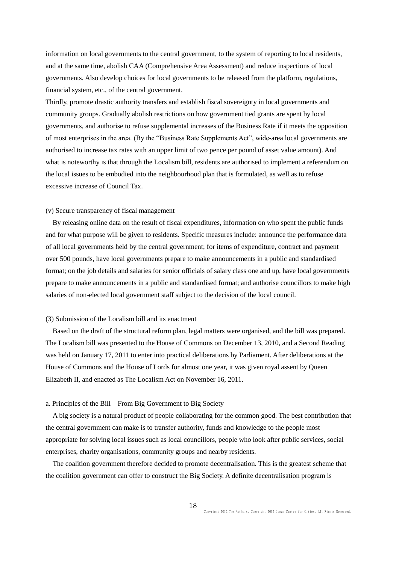information on local governments to the central government, to the system of reporting to local residents, and at the same time, abolish CAA (Comprehensive Area Assessment) and reduce inspections of local governments. Also develop choices for local governments to be released from the platform, regulations, financial system, etc., of the central government.

Thirdly, promote drastic authority transfers and establish fiscal sovereignty in local governments and community groups. Gradually abolish restrictions on how government tied grants are spent by local governments, and authorise to refuse supplemental increases of the Business Rate if it meets the opposition of most enterprises in the area. (By the "Business Rate Supplements Act", wide-area local governments are authorised to increase tax rates with an upper limit of two pence per pound of asset value amount). And what is noteworthy is that through the Localism bill, residents are authorised to implement a referendum on the local issues to be embodied into the neighbourhood plan that is formulated, as well as to refuse excessive increase of Council Tax.

## (v) Secure transparency of fiscal management

By releasing online data on the result of fiscal expenditures, information on who spent the public funds and for what purpose will be given to residents. Specific measures include: announce the performance data of all local governments held by the central government; for items of expenditure, contract and payment over 500 pounds, have local governments prepare to make announcements in a public and standardised format; on the job details and salaries for senior officials of salary class one and up, have local governments prepare to make announcements in a public and standardised format; and authorise councillors to make high salaries of non-elected local government staff subject to the decision of the local council.

## (3) Submission of the Localism bill and its enactment

Based on the draft of the structural reform plan, legal matters were organised, and the bill was prepared. The Localism bill was presented to the House of Commons on December 13, 2010, and a Second Reading was held on January 17, 2011 to enter into practical deliberations by Parliament. After deliberations at the House of Commons and the House of Lords for almost one year, it was given royal assent by Queen Elizabeth II, and enacted as The Localism Act on November 16, 2011.

## a. Principles of the Bill – From Big Government to Big Society

A big society is a natural product of people collaborating for the common good. The best contribution that the central government can make is to transfer authority, funds and knowledge to the people most appropriate for solving local issues such as local councillors, people who look after public services, social enterprises, charity organisations, community groups and nearby residents.

 The coalition government therefore decided to promote decentralisation. This is the greatest scheme that the coalition government can offer to construct the Big Society. A definite decentralisation program is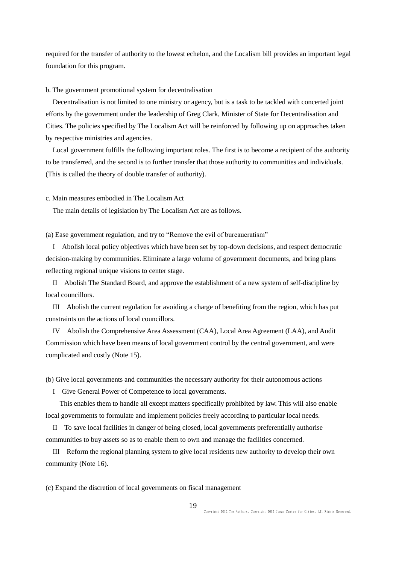required for the transfer of authority to the lowest echelon, and the Localism bill provides an important legal foundation for this program.

#### b. The government promotional system for decentralisation

Decentralisation is not limited to one ministry or agency, but is a task to be tackled with concerted joint efforts by the government under the leadership of Greg Clark, Minister of State for Decentralisation and Cities. The policies specified by The Localism Act will be reinforced by following up on approaches taken by respective ministries and agencies.

 Local government fulfills the following important roles. The first is to become a recipient of the authority to be transferred, and the second is to further transfer that those authority to communities and individuals. (This is called the theory of double transfer of authority).

c. Main measures embodied in The Localism Act

The main details of legislation by The Localism Act are as follows.

(a) Ease government regulation, and try to "Remove the evil of bureaucratism"

I Abolish local policy objectives which have been set by top-down decisions, and respect democratic decision-making by communities. Eliminate a large volume of government documents, and bring plans reflecting regional unique visions to center stage.

II Abolish The Standard Board, and approve the establishment of a new system of self-discipline by local councillors.

III Abolish the current regulation for avoiding a charge of benefiting from the region, which has put constraints on the actions of local councillors.

IV Abolish the Comprehensive Area Assessment (CAA), Local Area Agreement (LAA), and Audit Commission which have been means of local government control by the central government, and were complicated and costly (Note 15).

(b) Give local governments and communities the necessary authority for their autonomous actions

I Give General Power of Competence to local governments.

 This enables them to handle all except matters specifically prohibited by law. This will also enable local governments to formulate and implement policies freely according to particular local needs.

II To save local facilities in danger of being closed, local governments preferentially authorise communities to buy assets so as to enable them to own and manage the facilities concerned.

III Reform the regional planning system to give local residents new authority to develop their own community (Note 16).

(c) Expand the discretion of local governments on fiscal management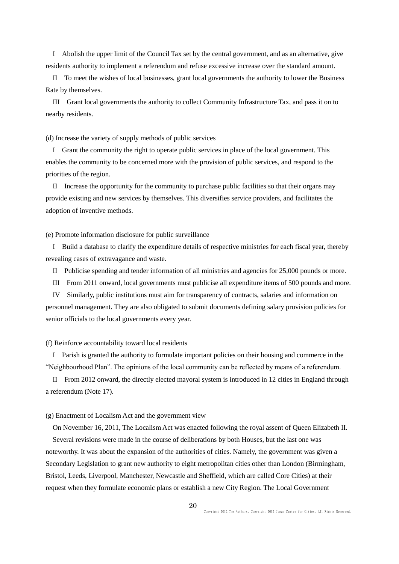I Abolish the upper limit of the Council Tax set by the central government, and as an alternative, give residents authority to implement a referendum and refuse excessive increase over the standard amount.

II To meet the wishes of local businesses, grant local governments the authority to lower the Business Rate by themselves.

III Grant local governments the authority to collect Community Infrastructure Tax, and pass it on to nearby residents.

(d) Increase the variety of supply methods of public services

I Grant the community the right to operate public services in place of the local government. This enables the community to be concerned more with the provision of public services, and respond to the priorities of the region.

II Increase the opportunity for the community to purchase public facilities so that their organs may provide existing and new services by themselves. This diversifies service providers, and facilitates the adoption of inventive methods.

(e) Promote information disclosure for public surveillance

I Build a database to clarify the expenditure details of respective ministries for each fiscal year, thereby revealing cases of extravagance and waste.

II Publicise spending and tender information of all ministries and agencies for 25,000 pounds or more.

III From 2011 onward, local governments must publicise all expenditure items of 500 pounds and more.

IV Similarly, public institutions must aim for transparency of contracts, salaries and information on personnel management. They are also obligated to submit documents defining salary provision policies for senior officials to the local governments every year.

#### (f) Reinforce accountability toward local residents

I Parish is granted the authority to formulate important policies on their housing and commerce in the "Neighbourhood Plan". The opinions of the local community can be reflected by means of a referendum.

II From 2012 onward, the directly elected mayoral system is introduced in 12 cities in England through a referendum (Note 17).

## (g) Enactment of Localism Act and the government view

On November 16, 2011, The Localism Act was enacted following the royal assent of Queen Elizabeth II. Several revisions were made in the course of deliberations by both Houses, but the last one was noteworthy. It was about the expansion of the authorities of cities. Namely, the government was given a Secondary Legislation to grant new authority to eight metropolitan cities other than London (Birmingham, Bristol, Leeds, Liverpool, Manchester, Newcastle and Sheffield, which are called Core Cities) at their request when they formulate economic plans or establish a new City Region. The Local Government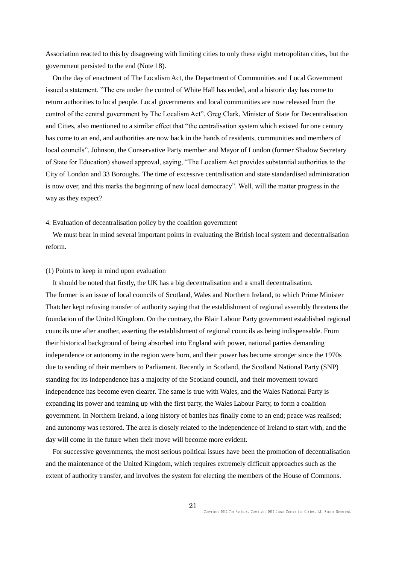Association reacted to this by disagreeing with limiting cities to only these eight metropolitan cities, but the government persisted to the end (Note 18).

On the day of enactment of The Localism Act, the Department of Communities and Local Government issued a statement. "The era under the control of White Hall has ended, and a historic day has come to return authorities to local people. Local governments and local communities are now released from the control of the central government by The Localism Act". Greg Clark, Minister of State for Decentralisation and Cities, also mentioned to a similar effect that "the centralisation system which existed for one century has come to an end, and authorities are now back in the hands of residents, communities and members of local councils". Johnson, the Conservative Party member and Mayor of London (former Shadow Secretary of State for Education) showed approval, saying, "The Localism Act provides substantial authorities to the City of London and 33 Boroughs. The time of excessive centralisation and state standardised administration is now over, and this marks the beginning of new local democracy". Well, will the matter progress in the way as they expect?

### 4. Evaluation of decentralisation policy by the coalition government

We must bear in mind several important points in evaluating the British local system and decentralisation reform.

## (1) Points to keep in mind upon evaluation

It should be noted that firstly, the UK has a big decentralisation and a small decentralisation. The former is an issue of local councils of Scotland, Wales and Northern Ireland, to which Prime Minister Thatcher kept refusing transfer of authority saying that the establishment of regional assembly threatens the foundation of the United Kingdom. On the contrary, the Blair Labour Party government established regional councils one after another, asserting the establishment of regional councils as being indispensable. From their historical background of being absorbed into England with power, national parties demanding independence or autonomy in the region were born, and their power has become stronger since the 1970s due to sending of their members to Parliament. Recently in Scotland, the Scotland National Party (SNP) standing for its independence has a majority of the Scotland council, and their movement toward independence has become even clearer. The same is true with Wales, and the Wales National Party is expanding its power and teaming up with the first party, the Wales Labour Party, to form a coalition government. In Northern Ireland, a long history of battles has finally come to an end; peace was realised; and autonomy was restored. The area is closely related to the independence of Ireland to start with, and the day will come in the future when their move will become more evident.

For successive governments, the most serious political issues have been the promotion of decentralisation and the maintenance of the United Kingdom, which requires extremely difficult approaches such as the extent of authority transfer, and involves the system for electing the members of the House of Commons.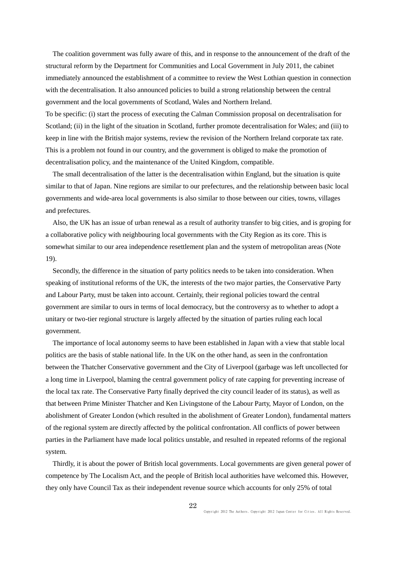The coalition government was fully aware of this, and in response to the announcement of the draft of the structural reform by the Department for Communities and Local Government in July 2011, the cabinet immediately announced the establishment of a committee to review the West Lothian question in connection with the decentralisation. It also announced policies to build a strong relationship between the central government and the local governments of Scotland, Wales and Northern Ireland.

To be specific: (i) start the process of executing the Calman Commission proposal on decentralisation for Scotland; (ii) in the light of the situation in Scotland, further promote decentralisation for Wales; and (iii) to keep in line with the British major systems, review the revision of the Northern Ireland corporate tax rate. This is a problem not found in our country, and the government is obliged to make the promotion of decentralisation policy, and the maintenance of the United Kingdom, compatible.

The small decentralisation of the latter is the decentralisation within England, but the situation is quite similar to that of Japan. Nine regions are similar to our prefectures, and the relationship between basic local governments and wide-area local governments is also similar to those between our cities, towns, villages and prefectures.

Also, the UK has an issue of urban renewal as a result of authority transfer to big cities, and is groping for a collaborative policy with neighbouring local governments with the City Region as its core. This is somewhat similar to our area independence resettlement plan and the system of metropolitan areas (Note 19).

Secondly, the difference in the situation of party politics needs to be taken into consideration. When speaking of institutional reforms of the UK, the interests of the two major parties, the Conservative Party and Labour Party, must be taken into account. Certainly, their regional policies toward the central government are similar to ours in terms of local democracy, but the controversy as to whether to adopt a unitary or two-tier regional structure is largely affected by the situation of parties ruling each local government.

The importance of local autonomy seems to have been established in Japan with a view that stable local politics are the basis of stable national life. In the UK on the other hand, as seen in the confrontation between the Thatcher Conservative government and the City of Liverpool (garbage was left uncollected for a long time in Liverpool, blaming the central government policy of rate capping for preventing increase of the local tax rate. The Conservative Party finally deprived the city council leader of its status), as well as that between Prime Minister Thatcher and Ken Livingstone of the Labour Party, Mayor of London, on the abolishment of Greater London (which resulted in the abolishment of Greater London), fundamental matters of the regional system are directly affected by the political confrontation. All conflicts of power between parties in the Parliament have made local politics unstable, and resulted in repeated reforms of the regional system.

Thirdly, it is about the power of British local governments. Local governments are given general power of competence by The Localism Act, and the people of British local authorities have welcomed this. However, they only have Council Tax as their independent revenue source which accounts for only 25% of total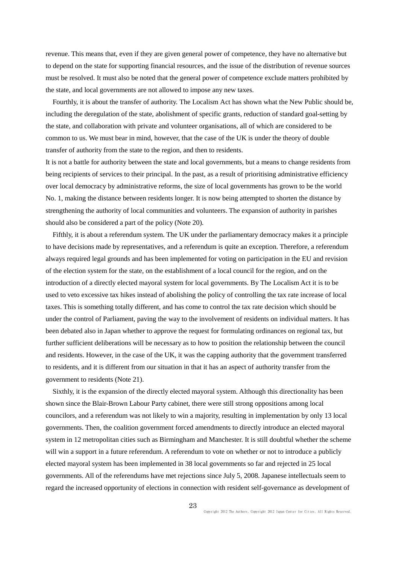revenue. This means that, even if they are given general power of competence, they have no alternative but to depend on the state for supporting financial resources, and the issue of the distribution of revenue sources must be resolved. It must also be noted that the general power of competence exclude matters prohibited by the state, and local governments are not allowed to impose any new taxes.

Fourthly, it is about the transfer of authority. The Localism Act has shown what the New Public should be, including the deregulation of the state, abolishment of specific grants, reduction of standard goal-setting by the state, and collaboration with private and volunteer organisations, all of which are considered to be common to us. We must bear in mind, however, that the case of the UK is under the theory of double transfer of authority from the state to the region, and then to residents.

It is not a battle for authority between the state and local governments, but a means to change residents from being recipients of services to their principal. In the past, as a result of prioritising administrative efficiency over local democracy by administrative reforms, the size of local governments has grown to be the world No. 1, making the distance between residents longer. It is now being attempted to shorten the distance by strengthening the authority of local communities and volunteers. The expansion of authority in parishes should also be considered a part of the policy (Note 20).

Fifthly, it is about a referendum system. The UK under the parliamentary democracy makes it a principle to have decisions made by representatives, and a referendum is quite an exception. Therefore, a referendum always required legal grounds and has been implemented for voting on participation in the EU and revision of the election system for the state, on the establishment of a local council for the region, and on the introduction of a directly elected mayoral system for local governments. By The Localism Act it is to be used to veto excessive tax hikes instead of abolishing the policy of controlling the tax rate increase of local taxes. This is something totally different, and has come to control the tax rate decision which should be under the control of Parliament, paving the way to the involvement of residents on individual matters. It has been debated also in Japan whether to approve the request for formulating ordinances on regional tax, but further sufficient deliberations will be necessary as to how to position the relationship between the council and residents. However, in the case of the UK, it was the capping authority that the government transferred to residents, and it is different from our situation in that it has an aspect of authority transfer from the government to residents (Note 21).

Sixthly, it is the expansion of the directly elected mayoral system. Although this directionality has been shown since the Blair-Brown Labour Party cabinet, there were still strong oppositions among local councilors, and a referendum was not likely to win a majority, resulting in implementation by only 13 local governments. Then, the coalition government forced amendments to directly introduce an elected mayoral system in 12 metropolitan cities such as Birmingham and Manchester. It is still doubtful whether the scheme will win a support in a future referendum. A referendum to vote on whether or not to introduce a publicly elected mayoral system has been implemented in 38 local governments so far and rejected in 25 local governments. All of the referendums have met rejections since July 5, 2008. Japanese intellectuals seem to regard the increased opportunity of elections in connection with resident self-governance as development of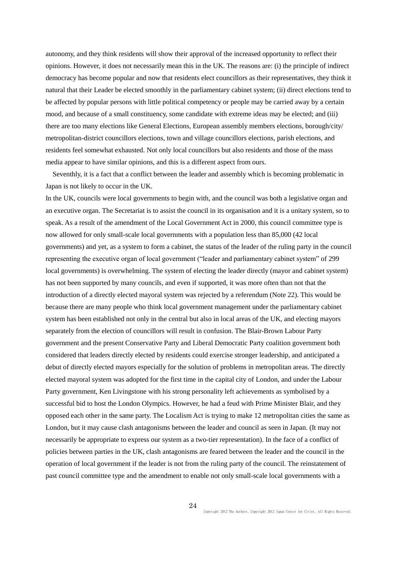autonomy, and they think residents will show their approval of the increased opportunity to reflect their opinions. However, it does not necessarily mean this in the UK. The reasons are: (i) the principle of indirect democracy has become popular and now that residents elect councillors as their representatives, they think it natural that their Leader be elected smoothly in the parliamentary cabinet system; (ii) direct elections tend to be affected by popular persons with little political competency or people may be carried away by a certain mood, and because of a small constituency, some candidate with extreme ideas may be elected; and (iii) there are too many elections like General Elections, European assembly members elections, borough/city/ metropolitan-district councillors elections, town and village councillors elections, parish elections, and residents feel somewhat exhausted. Not only local councillors but also residents and those of the mass media appear to have similar opinions, and this is a different aspect from ours.

Seventhly, it is a fact that a conflict between the leader and assembly which is becoming problematic in Japan is not likely to occur in the UK.

In the UK, councils were local governments to begin with, and the council was both a legislative organ and an executive organ. The Secretariat is to assist the council in its organisation and it is a unitary system, so to speak. As a result of the amendment of the Local Government Act in 2000, this council committee type is now allowed for only small-scale local governments with a population less than 85,000 (42 local governments) and yet, as a system to form a cabinet, the status of the leader of the ruling party in the council representing the executive organ of local government ("leader and parliamentary cabinet system" of 299 local governments) is overwhelming. The system of electing the leader directly (mayor and cabinet system) has not been supported by many councils, and even if supported, it was more often than not that the introduction of a directly elected mayoral system was rejected by a referendum (Note 22). This would be because there are many people who think local government management under the parliamentary cabinet system has been established not only in the central but also in local areas of the UK, and electing mayors separately from the election of councillors will result in confusion. The Blair-Brown Labour Party government and the present Conservative Party and Liberal Democratic Party coalition government both considered that leaders directly elected by residents could exercise stronger leadership, and anticipated a debut of directly elected mayors especially for the solution of problems in metropolitan areas. The directly elected mayoral system was adopted for the first time in the capital city of London, and under the Labour Party government, Ken Livingstone with his strong personality left achievements as symbolised by a successful bid to host the London Olympics. However, he had a feud with Prime Minister Blair, and they opposed each other in the same party. The Localism Act is trying to make 12 metropolitan cities the same as London, but it may cause clash antagonisms between the leader and council as seen in Japan. (It may not necessarily be appropriate to express our system as a two-tier representation). In the face of a conflict of policies between parties in the UK, clash antagonisms are feared between the leader and the council in the operation of local government if the leader is not from the ruling party of the council. The reinstatement of past council committee type and the amendment to enable not only small-scale local governments with a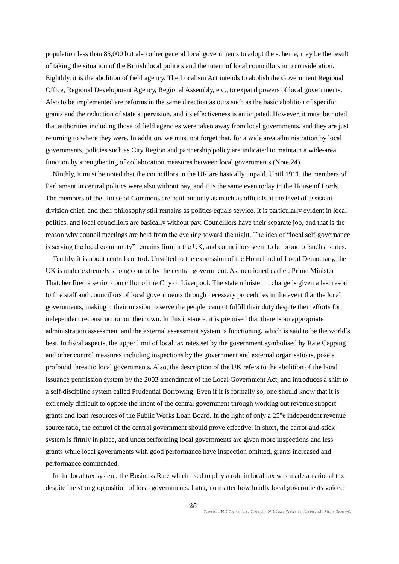population less than 85,000 but also other general local governments to adopt the scheme, may be the result of taking the situation of the British local politics and the intent of local councillors into consideration. Eighthly, it is the abolition of field agency. The Localism Act intends to abolish the Government Regional Office, Regional Development Agency, Regional Assembly, etc., to expand powers of local governments. Also to be implemented are reforms in the same direction as ours such as the basic abolition of specific grants and the reduction of state supervision, and its effectiveness is anticipated. However, it must be noted that authorities including those of field agencies were taken away from local governments, and they are just returning to where they were. In addition, we must not forget that, for a wide area administration by local governments, policies such as City Region and partnership policy are indicated to maintain a wide-area function by strengthening of collaboration measures between local governments (Note 24).

Ninthly, it must be noted that the councillors in the UK are basically unpaid. Until 1911, the members of Parliament in central politics were also without pay, and it is the same even today in the House of Lords. The members of the House of Commons are paid but only as much as officials at the level of assistant division chief, and their philosophy still remains as politics equals service. It is particularly evident in local politics, and local councillors are basically without pay. Councillors have their separate job, and that is the reason why council meetings are held from the evening toward the night. The idea of "local self-governance is serving the local community" remains firm in the UK, and councillors seem to be proud of such a status.

Tenthly, it is about central control. Unsuited to the expression of the Homeland of Local Democracy, the UK is under extremely strong control by the central government. As mentioned earlier, Prime Minister Thatcher fired a senior councillor of the City of Liverpool. The state minister in charge is given a last resort to fire staff and councillors of local governments through necessary procedures in the event that the local governments, making it their mission to serve the people, cannot fulfill their duty despite their efforts for independent reconstruction on their own. In this instance, it is premised that there is an appropriate administration assessment and the external assessment system is functioning, which is said to be the world's best. In fiscal aspects, the upper limit of local tax rates set by the government symbolised by Rate Capping and other control measures including inspections by the government and external organisations, pose a profound threat to local governments. Also, the description of the UK refers to the abolition of the bond issuance permission system by the 2003 amendment of the Local Government Act, and introduces a shift to a self-discipline system called Prudential Borrowing. Even if it is formally so, one should know that it is extremely difficult to oppose the intent of the central government through working out revenue support grants and loan resources of the Public Works Loan Board. In the light of only a 25% independent revenue source ratio, the control of the central government should prove effective. In short, the carrot-and-stick system is firmly in place, and underperforming local governments are given more inspections and less grants while local governments with good performance have inspection omitted, grants increased and performance commended.

In the local tax system, the Business Rate which used to play a role in local tax was made a national tax despite the strong opposition of local governments. Later, no matter how loudly local governments voiced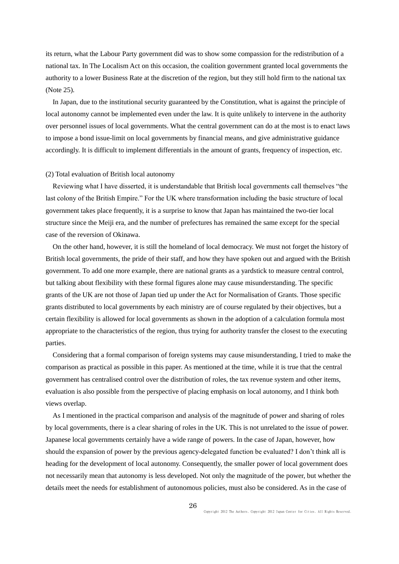its return, what the Labour Party government did was to show some compassion for the redistribution of a national tax. In The Localism Act on this occasion, the coalition government granted local governments the authority to a lower Business Rate at the discretion of the region, but they still hold firm to the national tax (Note 25).

In Japan, due to the institutional security guaranteed by the Constitution, what is against the principle of local autonomy cannot be implemented even under the law. It is quite unlikely to intervene in the authority over personnel issues of local governments. What the central government can do at the most is to enact laws to impose a bond issue-limit on local governments by financial means, and give administrative guidance accordingly. It is difficult to implement differentials in the amount of grants, frequency of inspection, etc.

#### (2) Total evaluation of British local autonomy

Reviewing what I have disserted, it is understandable that British local governments call themselves "the last colony of the British Empire." For the UK where transformation including the basic structure of local government takes place frequently, it is a surprise to know that Japan has maintained the two-tier local structure since the Meiji era, and the number of prefectures has remained the same except for the special case of the reversion of Okinawa.

On the other hand, however, it is still the homeland of local democracy. We must not forget the history of British local governments, the pride of their staff, and how they have spoken out and argued with the British government. To add one more example, there are national grants as a yardstick to measure central control, but talking about flexibility with these formal figures alone may cause misunderstanding. The specific grants of the UK are not those of Japan tied up under the Act for Normalisation of Grants. Those specific grants distributed to local governments by each ministry are of course regulated by their objectives, but a certain flexibility is allowed for local governments as shown in the adoption of a calculation formula most appropriate to the characteristics of the region, thus trying for authority transfer the closest to the executing parties.

Considering that a formal comparison of foreign systems may cause misunderstanding, I tried to make the comparison as practical as possible in this paper. As mentioned at the time, while it is true that the central government has centralised control over the distribution of roles, the tax revenue system and other items, evaluation is also possible from the perspective of placing emphasis on local autonomy, and I think both views overlap.

As I mentioned in the practical comparison and analysis of the magnitude of power and sharing of roles by local governments, there is a clear sharing of roles in the UK. This is not unrelated to the issue of power. Japanese local governments certainly have a wide range of powers. In the case of Japan, however, how should the expansion of power by the previous agency-delegated function be evaluated? I don't think all is heading for the development of local autonomy. Consequently, the smaller power of local government does not necessarily mean that autonomy is less developed. Not only the magnitude of the power, but whether the details meet the needs for establishment of autonomous policies, must also be considered. As in the case of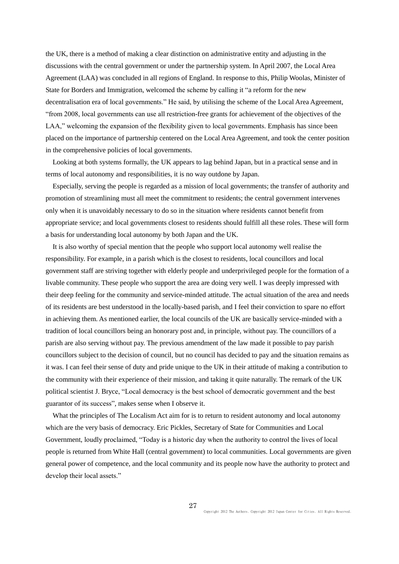the UK, there is a method of making a clear distinction on administrative entity and adjusting in the discussions with the central government or under the partnership system. In April 2007, the Local Area Agreement (LAA) was concluded in all regions of England. In response to this, Philip Woolas, Minister of State for Borders and Immigration, welcomed the scheme by calling it "a reform for the new decentralisation era of local governments." He said, by utilising the scheme of the Local Area Agreement, "from 2008, local governments can use all restriction-free grants for achievement of the objectives of the LAA," welcoming the expansion of the flexibility given to local governments. Emphasis has since been placed on the importance of partnership centered on the Local Area Agreement, and took the center position in the comprehensive policies of local governments.

Looking at both systems formally, the UK appears to lag behind Japan, but in a practical sense and in terms of local autonomy and responsibilities, it is no way outdone by Japan.

Especially, serving the people is regarded as a mission of local governments; the transfer of authority and promotion of streamlining must all meet the commitment to residents; the central government intervenes only when it is unavoidably necessary to do so in the situation where residents cannot benefit from appropriate service; and local governments closest to residents should fulfill all these roles. These will form a basis for understanding local autonomy by both Japan and the UK.

It is also worthy of special mention that the people who support local autonomy well realise the responsibility. For example, in a parish which is the closest to residents, local councillors and local government staff are striving together with elderly people and underprivileged people for the formation of a livable community. These people who support the area are doing very well. I was deeply impressed with their deep feeling for the community and service-minded attitude. The actual situation of the area and needs of its residents are best understood in the locally-based parish, and I feel their conviction to spare no effort in achieving them. As mentioned earlier, the local councils of the UK are basically service-minded with a tradition of local councillors being an honorary post and, in principle, without pay. The councillors of a parish are also serving without pay. The previous amendment of the law made it possible to pay parish councillors subject to the decision of council, but no council has decided to pay and the situation remains as it was. I can feel their sense of duty and pride unique to the UK in their attitude of making a contribution to the community with their experience of their mission, and taking it quite naturally. The remark of the UK political scientist J. Bryce, "Local democracy is the best school of democratic government and the best guarantor of its success", makes sense when I observe it.

What the principles of The Localism Act aim for is to return to resident autonomy and local autonomy which are the very basis of democracy. Eric Pickles, Secretary of State for Communities and Local Government, loudly proclaimed, "Today is a historic day when the authority to control the lives of local people is returned from White Hall (central government) to local communities. Local governments are given general power of competence, and the local community and its people now have the authority to protect and develop their local assets."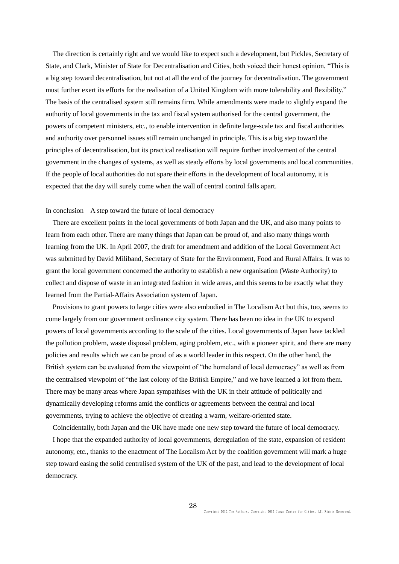The direction is certainly right and we would like to expect such a development, but Pickles, Secretary of State, and Clark, Minister of State for Decentralisation and Cities, both voiced their honest opinion, "This is a big step toward decentralisation, but not at all the end of the journey for decentralisation. The government must further exert its efforts for the realisation of a United Kingdom with more tolerability and flexibility." The basis of the centralised system still remains firm. While amendments were made to slightly expand the authority of local governments in the tax and fiscal system authorised for the central government, the powers of competent ministers, etc., to enable intervention in definite large-scale tax and fiscal authorities and authority over personnel issues still remain unchanged in principle. This is a big step toward the principles of decentralisation, but its practical realisation will require further involvement of the central government in the changes of systems, as well as steady efforts by local governments and local communities. If the people of local authorities do not spare their efforts in the development of local autonomy, it is expected that the day will surely come when the wall of central control falls apart.

## In conclusion – A step toward the future of local democracy

There are excellent points in the local governments of both Japan and the UK, and also many points to learn from each other. There are many things that Japan can be proud of, and also many things worth learning from the UK. In April 2007, the draft for amendment and addition of the Local Government Act was submitted by David Miliband, Secretary of State for the Environment, Food and Rural Affairs. It was to grant the local government concerned the authority to establish a new organisation (Waste Authority) to collect and dispose of waste in an integrated fashion in wide areas, and this seems to be exactly what they learned from the Partial-Affairs Association system of Japan.

Provisions to grant powers to large cities were also embodied in The Localism Act but this, too, seems to come largely from our government ordinance city system. There has been no idea in the UK to expand powers of local governments according to the scale of the cities. Local governments of Japan have tackled the pollution problem, waste disposal problem, aging problem, etc., with a pioneer spirit, and there are many policies and results which we can be proud of as a world leader in this respect. On the other hand, the British system can be evaluated from the viewpoint of "the homeland of local democracy" as well as from the centralised viewpoint of "the last colony of the British Empire," and we have learned a lot from them. There may be many areas where Japan sympathises with the UK in their attitude of politically and dynamically developing reforms amid the conflicts or agreements between the central and local governments, trying to achieve the objective of creating a warm, welfare-oriented state.

Coincidentally, both Japan and the UK have made one new step toward the future of local democracy.

I hope that the expanded authority of local governments, deregulation of the state, expansion of resident autonomy, etc., thanks to the enactment of The Localism Act by the coalition government will mark a huge step toward easing the solid centralised system of the UK of the past, and lead to the development of local democracy.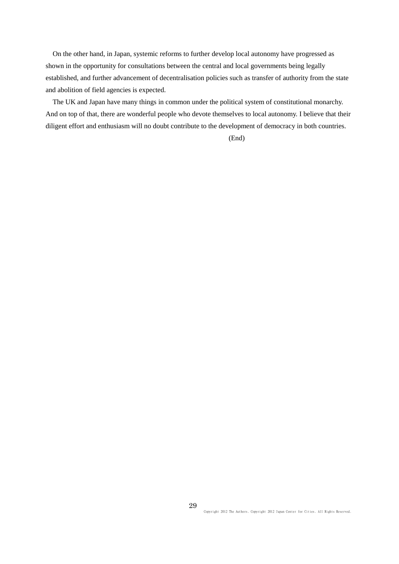On the other hand, in Japan, systemic reforms to further develop local autonomy have progressed as shown in the opportunity for consultations between the central and local governments being legally established, and further advancement of decentralisation policies such as transfer of authority from the state and abolition of field agencies is expected.

The UK and Japan have many things in common under the political system of constitutional monarchy. And on top of that, there are wonderful people who devote themselves to local autonomy. I believe that their diligent effort and enthusiasm will no doubt contribute to the development of democracy in both countries.

(End)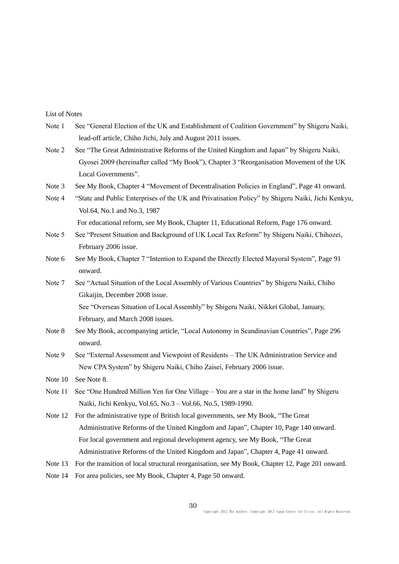## List of Notes

- Note 1 See "General Election of the UK and Establishment of Coalition Government" by Shigeru Naiki, lead-off article, Chiho Jichi, July and August 2011 issues.
- Note 2 See "The Great Administrative Reforms of the United Kingdom and Japan" by Shigeru Naiki, Gyosei 2009 (hereinafter called "My Book"), Chapter 3 "Reorganisation Movement of the UK Local Governments".
- Note 3 See My Book, Chapter 4 "Movement of Decentralisation Policies in England", Page 41 onward.
- Note 4 "State and Public Enterprises of the UK and Privatisation Policy" by Shigeru Naiki, Jichi Kenkyu, Vol.64, No.1 and No.3, 1987

For educational reform, see My Book, Chapter 11, Educational Reform, Page 176 onward.

- Note 5 See "Present Situation and Background of UK Local Tax Reform" by Shigeru Naiki, Chihozei, February 2006 issue.
- Note 6 See My Book, Chapter 7 "Intention to Expand the Directly Elected Mayoral System", Page 91 onward.
- Note 7 See "Actual Situation of the Local Assembly of Various Countries" by Shigeru Naiki, Chiho Gikaijin, December 2008 issue. See "Overseas Situation of Local Assembly" by Shigeru Naiki, Nikkei Global, January, February, and March 2008 issues.
- Note 8 See My Book, accompanying article, "Local Autonomy in Scandinavian Countries", Page 296 onward.
- Note 9 See "External Assessment and Viewpoint of Residents The UK Administration Service and New CPA System" by Shigeru Naiki, Chiho Zaisei, February 2006 issue.
- Note 10 See Note 8.
- Note 11 See "One Hundred Million Yen for One Village You are a star in the home land" by Shigeru Naiki, Jichi Kenkyu, Vol.65, No.3 – Vol.66, No.5, 1989-1990.
- Note 12 For the administrative type of British local governments, see My Book, "The Great Administrative Reforms of the United Kingdom and Japan", Chapter 10, Page 140 onward. For local government and regional development agency, see My Book, "The Great Administrative Reforms of the United Kingdom and Japan", Chapter 4, Page 41 onward.
- Note 13 For the transition of local structural reorganisation, see My Book, Chapter 12, Page 201 onward.
- Note 14 For area policies, see My Book, Chapter 4, Page 50 onward.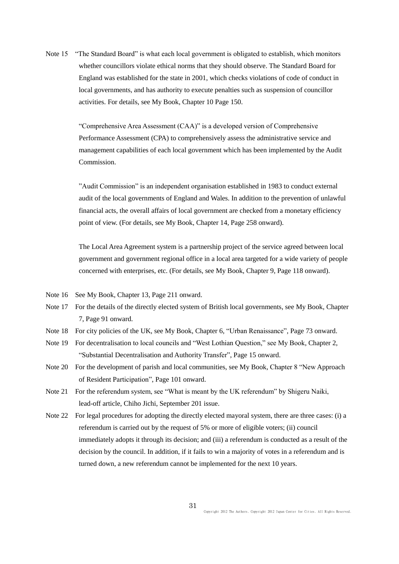Note 15 "The Standard Board" is what each local government is obligated to establish, which monitors whether councillors violate ethical norms that they should observe. The Standard Board for England was established for the state in 2001, which checks violations of code of conduct in local governments, and has authority to execute penalties such as suspension of councillor activities. For details, see My Book, Chapter 10 Page 150.

> "Comprehensive Area Assessment (CAA)" is a developed version of Comprehensive Performance Assessment (CPA) to comprehensively assess the administrative service and management capabilities of each local government which has been implemented by the Audit Commission.

"Audit Commission" is an independent organisation established in 1983 to conduct external audit of the local governments of England and Wales. In addition to the prevention of unlawful financial acts, the overall affairs of local government are checked from a monetary efficiency point of view. (For details, see My Book, Chapter 14, Page 258 onward).

The Local Area Agreement system is a partnership project of the service agreed between local government and government regional office in a local area targeted for a wide variety of people concerned with enterprises, etc. (For details, see My Book, Chapter 9, Page 118 onward).

- Note 16 See My Book, Chapter 13, Page 211 onward.
- Note 17 For the details of the directly elected system of British local governments, see My Book, Chapter 7, Page 91 onward.
- Note 18 For city policies of the UK, see My Book, Chapter 6, "Urban Renaissance", Page 73 onward.
- Note 19 For decentralisation to local councils and "West Lothian Question," see My Book, Chapter 2, "Substantial Decentralisation and Authority Transfer", Page 15 onward.
- Note 20 For the development of parish and local communities, see My Book, Chapter 8 "New Approach of Resident Participation", Page 101 onward.
- Note 21 For the referendum system, see "What is meant by the UK referendum" by Shigeru Naiki, lead-off article, Chiho Jichi, September 201 issue.
- Note 22 For legal procedures for adopting the directly elected mayoral system, there are three cases: (i) a referendum is carried out by the request of 5% or more of eligible voters; (ii) council immediately adopts it through its decision; and (iii) a referendum is conducted as a result of the decision by the council. In addition, if it fails to win a majority of votes in a referendum and is turned down, a new referendum cannot be implemented for the next 10 years.